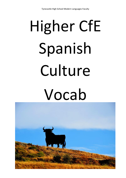# Higher CfE Spanish Culture Vocab

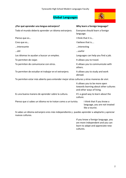# **Global Languages**



| ¿Por qué aprender una lengua extranjera?                                                   | Why learn a foreign language?                                                                       |  |
|--------------------------------------------------------------------------------------------|-----------------------------------------------------------------------------------------------------|--|
| Todo el mundo debería aprender un idioma extranjero.                                       | Everyone should learn a foreign<br>language.                                                        |  |
| Pienso que es                                                                              | I think that it is                                                                                  |  |
| Creo que es                                                                                | I believe that is                                                                                   |  |
| interesante                                                                                | interesting                                                                                         |  |
| …útil                                                                                      | useful                                                                                              |  |
| Los idiomas te ayudan a buscar un empleo.                                                  | Languages can help you find a job.                                                                  |  |
| Te permiten de viajar.                                                                     | It allows you to travel.                                                                            |  |
| Te permiten de comunicarse con otros.                                                      | It allows you to communicate with<br>others.                                                        |  |
| Te permiten de estudiar et trabajar en el extranjero.                                      | It allows you to study and work<br>abroad.                                                          |  |
| Te permiten estar más abierto para entender mejor otras culturas y otras maneras de vivir. |                                                                                                     |  |
|                                                                                            | It allows you to be more open<br>towards learning about other cultures<br>and other ways of living. |  |
| Es una buena manera de aprender sobre la cultura.                                          | It's a good way to learn about the<br>culture.                                                      |  |
| Pienso que si sabes un idioma no te tratan como a un turista.                              | I think that if you know a<br>language, you are not treated<br>like a tourist.                      |  |
|                                                                                            |                                                                                                     |  |

Si sabes un idioma extranjero eres más independiente y puedes aprender a adaptarte y apreciar nuevas culturas.

> If you know a foreign language, you are more independent and you can learn to adapt and appreciate new cultures.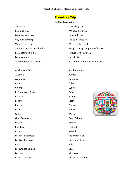# **Planning a Trip**

# **Holiday Destinations**

| Suelo ir a                      | I usually go to                   |
|---------------------------------|-----------------------------------|
| Solemos ir a                    | We usually go to                  |
| Me quedo en casa.               | I stay at home.                   |
| Voy a un camping.               | I go to a campsite.               |
| Vamos a la costa.               | We go to the coast.               |
| Vamos a casa de mis abuelos.    | We go to my grandparents' house.  |
| Me encantaría ir a              | I would love to go to             |
| Me gustaría ir a                | I would like to go to             |
| Si tuviera mucho dinero, iría a | If I had lots of money I would go |

América del Sur South America Australia Australia Alemania Germany Chile Chile Chipre Chipre Cyprus El Emirato de Dubái **Dubai Dubai Dubai Dubai Dubai Dubai Dubai** Escocia de Scotland de Scotland de Scotland de Scotland de Scotland de Scotland de Scotland de Scotland de Scotland de Scotland de Scotland de Scotland de Scotland de Scotland de Scotland de Scotland de Scotland de Scotlan España en la seu de la componentación de la seu de Spain Europa Europe Francia France Gales **Gales Gales Contract Contract Contract Contract Contract Contract Contract Contract Contract Contract Contract Contract Contract Contract Contract Contract Contract Contract Contract Contract Contract Contract C** Gran Bretaña Great Britain Grecia **Greece** Inglaterra **England** Irlanda **Irlanda** Ireland Las Islas Británicas the British Isles Las Islas Canarias the Canary Islands Italia **Italia** Italy and Italy and Italy and Italy and Italy and Italy and Italy Las Estados Unidos **Natividades** USA Marruecos Morocco El Mediterráneo the Mediterranean

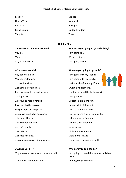México Mexico Nueva York **Nueva York** New York **New York** Portugal **Portugal** Portugal Turquía Turkey

Reino Unido **National Community Community** Christene United Kingdom

# **Holiday Plans**

# **¿Adónde vas a ir de vacaciones? Where are you going to go on holiday?**

Voy con mis amigos. I am going with my friends. Voy con mi familia. I am going with my family. …con mi novio/a. …with my boyfriend/ girlfriend. …con mi mejor amigo/a. …with my best friend. …mis padres. …my parents. …porque es más divertido. …because it is more fun. Paso mucho tiempo con... I spend a lot of time with... Me gusta pasar tiempo con... The set of like to spend time with... ...no paso mucho tiempo con... I do not spend a lot of time with... …hay más libertad. …there is more freedom …hay menos libertad. …there is less freedom …es más barato. …it is cheaper …es más caro. …it is more expensive …es más relajado. …it is more relaxed

**¿Cuándo vas a ir? When are you going to go?** 

…durante la temporada alta. …during the peak season.

Voy a... **I am going to...** I am going to... Vamos a... **We are going to... We are going to...** 

Voy al extranjero. I am going abroad

# **¿Con quién vas a ir? Who are you going to go with?**

- 
- 
- 
- 
- Prefiero pasar las vacaciones con… I prefer to spend the holidays with …
	-
	-
	-
	-
	-
	-
	-
	-
	-
	-
- ...no me gusta pasar tiempo con... I don't like to spend time with...

Voy a pasar las vacaciones de verano allí. I am going to spend the summer holidays there.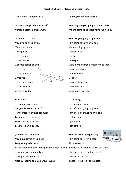…durante la temporada baja. …during the off-peak season.

…porque es… …because it is

…más rápido. …faster

…más barato. …cheaper

…muy estresante. …very stressful.  $\ldots$ muy estresante.  $\ldots$   $\ldots$   $\ldots$   $\ldots$   $\ldots$   $\ldots$   $\ldots$   $\ldots$   $\ldots$   $\ldots$   $\ldots$   $\ldots$   $\ldots$   $\ldots$   $\ldots$   $\ldots$   $\ldots$   $\ldots$   $\ldots$   $\ldots$   $\ldots$   $\ldots$   $\ldots$   $\ldots$   $\ldots$   $\ldots$   $\ldots$   $\ldots$   $\ldots$   $\ldots$   $\ldots$   $\ldots$   $\ldots$   $\$ 



…más divertido. …more exciting.

Odio volar. The contract of the contract of the contract of the contract of the contract of the contract of the contract of the contract of the contract of the contract of the contract of the contract of the contract of th

Tengo miedo de volar. I am afraid of flying. Tengo miedo de ir en avión. I am afraid of going by plane. Tengo miedo de viajar por avión. I am afraid of travelling by plane. Me mareo en el mar. I get seasick. Me mareo en el avión. I get airsick. Me mareo en el coche. I get carsick.

Voy a quedarme en un hotel. I am going to stay in a hotel. Me gusta quedarme en... The stay in the stay in the stay in the stay in the stay in the stay in the stay in the stay in the stay in the stay in the stay in the stay in the stay in the stay in the stay in the stay in the st

**¿Cuánto tiempo vas a estar allí? How long are you going to spend there?** 

Vamos a estar allí tres semanas. We are going to be there for three weeks.

# **¿Cómo vas a ir allí? How are you going to get there?**

Voy a viajar en un avión. I am going to travel by plane. Vamos en barco. The same state of the UVE are going by boat.

- 
- 
- ...es más ecológico que... es más ecológico que...
- …más caro. …more expensive.

- …más interesante. …more interesting.
	-
- …más relajado. …it is more relaxed.
	-
	-
	-
	-
	-

# **¿Dónde vas a quedarte? Where are you going to stay?**



Si tuviera mucho dinero me gustaría quedarme en… if I had lots of money I'd like to stay in…

- …porque eres independiente. …because you are independent
- …porque puedo descansar. …because I can rest.

Odio quedarme en un albergue juvenil. I hate staying in a youth hostel.

- 
-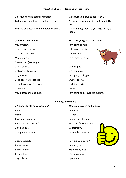…porque hay que cocinar /arreglar. ….because you have to cook/tidy up Lo bueno de quedarse en un hotel es que... The good thing about staying in a hotel is

Lo malo de quedarse en (un hotel) es que... The bad thing about staying in (a hotel) is

Voy a visitar... The contract of the U am going to visit … los monumentos. et al. (2008) subsetting the monuments. … la plaza de toros. …the bullring Voy a ir (a)<sup>\*</sup>... **I** am going to go to... \*remember (a) changes … una corrida. …a bullfight. …al parque temático. ….a theme park Voy a hacer... and the same of the law poing to do/go... …los deportes acuáticos. …water sports. …los deportes de invierno. …winter sports. …el esquí. …skiing.

that…

that...

# **¿Qué vas a hacer allí? What are you going to do there?**



Voy a descubrir la cultura. I am going to discover the culture.

# **Holidays in the Past**

# **¿ A dónde fuiste en vacaciones? Where did you go on holiday?**

Fui a… I went to… Visité.. I visited… Pasé una semana allí. I spent a week there. …quince días. …a fortnight. …un par de semanas. …a couple of weeks.

Fui en coche. I went by car. …agradable. …pleasant.

- 
- 
- 
- Pasamos cinco días allí. The spent five days there.
	-
	-
- **¿Cómo viajaste? How did you travel?** Fuimos en bici. The contract of the contract we went by bike. El viaje fue... The journey was...

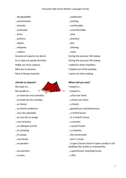…desagradable. …unpleasant. …emocionante. …exciting. …cómodo. …comfortable. …incómodo. …uncomfortable. …lento. …slow. …práctico. …practical. …rápido. …fast. …relajante. …relaxing. …ruidoso. …noisy. Durante el trayecto me dormí. During the journey I fell asleep. En el viaje me quedé dormido. During the journey I fell asleep. Hablé con otros viajeros. The second travellers of talked to other travellers. Miré por la ventana. I looked out of the window. Pasé el tiempo leyendo. I spent my time reading.

Me alojé en… **I stayed in** I stayed in...

…un hotel de cinco estrellas. …a five star hotel. …un hotel de tres estrellas. …a three star hotel.

…una casa alquilada. …a rented house.

…una caravana. …a caravan.

…un albergue juvenil. …a youth hostel.

…un piso. …a flat.

**¿Dónde te alojaste? Where did you stay?**  Me quedé en…  $\forall$   $\forall$  I stayed in... …un hostal. …a hostel. …un hostal residencia. …guesthouse, boarding house. …en casa de un amigo. …in a friend's house. …un camping. …a campsite. …el campo. …the countryside. …una tienda. **…**tent / a shop. …un parador. …*a type of luxury hotel in Spain usually in old buildings like castles or monasteries.* …una pensión. …a guesthouse, boarding house.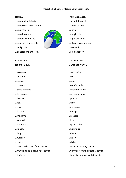- ...una piscina infinita.  $\ldots$  an infinity pool.
- …una piscina climatizada. …a heated pool.
- 
- 
- 
- 
- 
- …adaptador para iPod. …iPod adaptor.

- 
- …antiguo. …old.
- 
- 
- 
- 
- 
- 

- 
- 
- 
- 
- 
- 
- 

- 
- 



- Había… There was/were… …conexión a internet. **1990 a la connection** de la connection. El hotel era... The hotel was... No era (muy)… … was not (very)… …acogedor. …welcoming. …nuevo. …new. …cómodo. …comfortable. …poco cómodo. …uncomfortable. …Incómodo. …uncomfortable. …bonito. …pretty. …feo. …ugly. …caro. …expensive. …barato. …cheap. …moderno. …modern. …animado. …lively. …tranquilo. …quiet, calm. …lujoso. …luxurious. …limpio. …clean. …ruidoso. …noisy. …sucio. …dirty.
- …cerca de la playa / del centro. …near the beach / centre.
- …muy lejos de la playa /del centro. …very far from the beach / centre.
- …turístico. …touristy, popular with tourists.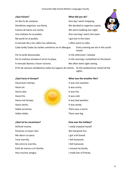Un día fui de compras. One day I went shopping. Decidimos organizar una fiesta. We decided to organise a party. Fuimos de bares una noche.<br>
We went clubbing one night. Una mañana fui al pueblo. One morning I went into town. Me perdí en el pueblo. I got lost in the town. A menudo iba a los cafés/las cafeterías, les defensions to cafes. Cada tarde/ todas las tardes comíamos en el albergue. Every evening we ate in the youth Por la tarde descansaba. In the afternoon I relaxed.

# **¿Que hiciste? What did you do?**

hostel.

Por la mañana tomaba el sol en la playa. In the morning I sunbathed on the beach.

A menudo íbamos a hacer turismo. We often went sight-seeing.

El fin de semana visitábamos todos los lugares de interés. At the weekend we visited all the sights.

Había tormenta. There was a storm. Había niebla. There was fog.



# **¿Qué hacia el tiempo? What was the weather like?**

Hacía buen tiempo. It was nice weather.

# **¿Qué tal las vacaciones? How was the holiday?**

Disfruté mucho. The enjoyed myself. Pasamos un buen rato. Notifiable and the Me had great fun. Me aburrí un poco. I got a bit bored. Tuve morriña. **I felt homesick.** Me entró la morriña. I felt homesick. Eché de menos a mi familia. I missed my family. Hice muchos amigos. The state of the lots of friends.

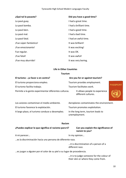| ¿Qué tal lo pasaste?   | Did you have a good time? |
|------------------------|---------------------------|
| Lo pasé guay.          | I had a great time.       |
| Lo pasé bomba.         | I had a brilliant time.   |
| Lo pasé bien.          | I had a good time.        |
| Lo pasé mal.           | I had a bad time.         |
| Lo pasé fatal.         | I had an awful time.      |
| ¡Fue súper-fantástico! | It was brilliant!         |
| ¡Fue emocionante!      | It was exciting!          |
| Fue regular.           | It was OK.                |
| <i>iFue fatal!</i>     | It was awful!             |
| ¡Fue muy aburrido!     | It was very boring.       |

# **Life in Other Countries**

# **Tourism**

| El turismo - ¿a favor o en contra?                   | Are you for or against tourism?                       |                 |
|------------------------------------------------------|-------------------------------------------------------|-----------------|
| El turismo proporciona empleo.                       | Tourism provides employment.                          |                 |
| El turismo facilita trabajo.                         | Tourism facilitates work.                             | <b>PASSPORT</b> |
| Permite a la gente experimentar diferentes culturas. | It allows people to experience<br>different cultures. |                 |

| Los aviones contaminan el medio ambiente.      | Aeroplanes contaminates the environment.            |
|------------------------------------------------|-----------------------------------------------------|
| El turismo favorece la explotación.            | Tourism promotes exploitation.                      |
| A largo plazo, el turismo conduce a desempleo. | In the long term, tourism leads to<br>unemployment. |

# **Racism**

**¿Puedes explicar lo que significa el racismo para ti? Can you explain the significance of** 

**racism to you?**

A mi parecer... and the set of the set of the set of the set of the set of the set of the set of the set of the set of the set of the set of the set of the set of the set of the set of the set of the set of the set of the

…es la discriminación hacia una persona de diferente raza.

…it is discrimination of a person of a different race.

…es juzgar a alguien por el color de su piel o su lugar de procedencia.

…it is to judge someone for the colour of their skin or where they come from.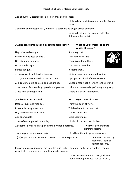…es etiquetar y estereotipar a las personas de otras razas.

…it is to label and stereotype people of other races.

…consiste en menospreciar y maltratar a personas de origen étnico diferente.

…it is to belittle or mistreat people of a different ethnic origin.

**causes of racism?**

# **¿Cuáles consideras que son las causas del racismo? What do you consider to be the**

Hay quienes dicen que... The same say that means of the say that say that say that say that say that say that say that say that say that say that say that say that say that say that say that say that say that say that say

Estoy convencido/a de que... I am convinced that...

No cabe duda de que… There is no doubt that…

No se puede negar... The set of the set of the You cannot deny that...

Parece ser que... The contract of the latest seems that ...

… es a causa de la falta de educación. …it is because of a lack of education.

… la gente tiene miedo de lo que no conoce. …people are afraid of the unknown.

… la gente teme lo que es ajeno a su mundo. …people fear what is foreign to their world.

… existe masificación de grupos de inmigrantes. …there is overcrowding of immigrant groups.

# Desde el punto de vista de... From this point of view... Esto me lleva a pensar que... This leads me to believe that... Hay que tener en cuenta que... The same of the Keep in mind that... …es abominable. …it is abominable. …debería estar penado por la ley. …it should be punished by law. …debemos poner nuestra parte para eliminar el racismo. …we must do our part to eliminate racism. …va a seguir creciendo aún más. …it will continue to grow even more.

…(no)se justifica por razones económicas, sociales o políticas. …it is (not) justified by

economic, social or political reasons.

Pienso que para eliminar el racismo, los niños deben aprender en la escuela valores como el respeto, la comprensión, la igualdad y la tolerancia.

> I think that to eliminate racism, children should be taught values such as respect,



- 
- 
- 
- … hay falta de integración. …there is a lack of integration.

# **¿Qué opinas del racismo? What do you think of racism?**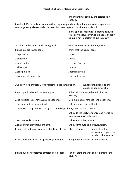understanding, equality and tolerance in schools.

En mi opinión, el racismo es una actitud negativa para la sociedad porque todas las personas somos iguales y el color de la piel no es importante para convivir en la sociedad.

> In my opinion, racism is a negative attitude to society because everyone is equal and skin colour is not important to live in society.

| ¿Cuáles son las causas de la inmigración? | What are the causes of immigration? |
|-------------------------------------------|-------------------------------------|
| Pienso que las causas son                 | I think that the causes are         |
| la pobreza.                               | poverty.                            |
| el trabajo.                               | work.                               |
| la seguridad.                             | security/safety.                    |
| el hambre.                                | hunger.                             |
| asilo político.                           | political asylum.                   |
| la guerra y la violencia.                 | war and violence.                   |

# **¿Qué son los benéficos y los problemas de la inmigración? What are the benefits and problems of immigration?**

| Pienso que hay beneficios para el país.                                     | I think that there are benefits for the<br>country                          |                                                                      |
|-----------------------------------------------------------------------------|-----------------------------------------------------------------------------|----------------------------------------------------------------------|
| los inmigrantes contribuyen a la economía.                                  | immigrants contribute to the economy.                                       |                                                                      |
| mejoran la tasa de natalidad.                                               | they improve the birth rate.                                                |                                                                      |
| hacen el trabajo 'sucio' o peligroso como limpiadores, colectores de basura |                                                                             |                                                                      |
|                                                                             | they do the 'dirty' or dangerous work like<br>cleaners, rubbish collectors. |                                                                      |
| enriquecen la cultura.                                                      | they enrich the culture.                                                    |                                                                      |
| contribuyen al multiculturalismo.                                           | they contribute to multiculturalism.                                        |                                                                      |
| El multiculturalismo, expande y abre la mente hacia otras culturas.         |                                                                             | Multiculturalism<br>expands and opens the<br>mind to other cultures. |
| La integración favorece el aprendizaje del idioma.                          | Integration promotes language learning.                                     |                                                                      |

Pienso que hay problemas también para el país. I think that there are also problems for the

country.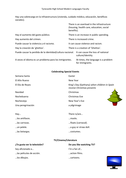Hay una sobrecarga en la infraestructura (vivienda, cuidado médico, educación, benéficos sociales).

|                                                           | benefits).                        | There is an overload in the infrastructure<br>(housing, health care, education, social |
|-----------------------------------------------------------|-----------------------------------|----------------------------------------------------------------------------------------|
| Hay el aumento del gasto público.                         |                                   | There is an increase in public spending.                                               |
| Hay aumento del crimen.                                   | There is increased crime.         |                                                                                        |
| Puede causar la violencia y el racismo.                   |                                   | It can cause violence and racism.                                                      |
| Hay la creación de 'ghettos'.                             | There is a creation of 'Ghettos'. |                                                                                        |
| Puede causar la perdida de la identidad/cultura nacional. |                                   | It can cause the loss of national<br>culture/identity.                                 |
| A veces el idioma es un problema para los inmigrantes.    |                                   | At times, the language is a problem<br>for immigrants.                                 |

# **Celebrating Special Events**

| Semana Santa      | Easter                                                                     |
|-------------------|----------------------------------------------------------------------------|
| El Año Nuevo      | New Year                                                                   |
| El Día de Reyes   | King's Day (Epithany) when children in Spain<br>receive Christmas presents |
| Navidad           | Christmas                                                                  |
| Nochebuena        | Christmas Eve                                                              |
| Nochevieja        | New Year's Eve                                                             |
| Una peregrinación | a pilgrimage                                                               |
|                   |                                                                            |
| Hay               | There is/are                                                               |
| los antifaces.    | masks.                                                                     |
| las carrozas.     | floats (carnaval).                                                         |
| un pelele.        | a guy or straw doll.                                                       |
| las botargas.     | costumes.                                                                  |
|                   |                                                                            |

# **TV/Cinema/Literature**

| ¿Te gusta ver la televisión? | Do you like watching TV? |
|------------------------------|--------------------------|
| Soy aficionado a             | I'm a fan of             |
| las películas de acción.     | action films.            |
| los dibujos.                 | cartoons.                |

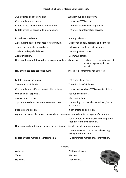| ¿Qué opinas de la televisión?                                                              | What is your opinion of TV? |                                                                            |
|--------------------------------------------------------------------------------------------|-----------------------------|----------------------------------------------------------------------------|
| Creo que la tele es buena.                                                                 | I think that T.V is good.   |                                                                            |
| La tele ofrece muchas cosas interesantes.                                                  |                             | T.V offers many interesting things.                                        |
| La tele ofrece un servicio de información.                                                 |                             | T.V offers an information service.                                         |
|                                                                                            |                             |                                                                            |
| Es un buen medio de                                                                        | It is a good way of         |                                                                            |
| descubrir nuevos horizontes y otras culturas.                                              |                             | discovering new horizons and cultures.                                     |
| desconectar de la rutina diaria.                                                           |                             | disconnecting from daily routine.                                          |
| relajarse después del insti.                                                               | relaxing after school.      |                                                                            |
| comunicación.                                                                              | communication.              |                                                                            |
| Nos permite estar informados de lo que sucede en el mundo.                                 |                             | It allows us to be informed of<br>what is happening in the<br>world.       |
| Hay emisiones para todos los gustos.                                                       |                             | There are programmes for all tastes.                                       |
|                                                                                            |                             |                                                                            |
|                                                                                            |                             |                                                                            |
| La tele es mala/peligrosa.                                                                 | T.V is bad/dangerous.       |                                                                            |
| Tiene mucha violencia.                                                                     | There is a lot of violence. |                                                                            |
| Creo que la televisión es una pérdida de tiempo.                                           |                             | I think that watching T.V is a waste of time.                              |
| Uno corre el riesgo de                                                                     | You run the risk of         |                                                                            |
| volverse perezoso.                                                                         | becoming lazy.              |                                                                            |
| pasar demasiadas horas encerrado en casa.                                                  | up at home.                 | spending too many hours indoors/locked                                     |
| Puede crear adicción.                                                                      | It can create an addiction. |                                                                            |
| Algunas personas pierden el control de las horas que pasan delante de la pequeña pantalla. |                             |                                                                            |
|                                                                                            |                             | Some people lose control of how long they<br>spend in front of the screen. |
| Hay demasiada publicidad ridícula que encima nos dicta lo que debemos comprar.             |                             |                                                                            |
|                                                                                            | telling us what to buy.     | There is too much ridiculous advertising                                   |

# **Cinema**

| Ayer vi  | Yesterday I saw |
|----------|-----------------|
| Vimos    | We saw          |
| He visto | I have seen     |

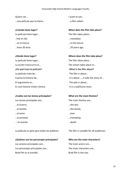Quiero ver... **I** want to see... …una película que se llama… …a film called…

La película tiene lugar...<br>
The film takes place... ..hoy en día. …nowadays …en el futuro. …in the future.

**¿Dónde tiene lugar? Where does the film take place?**

La película tiene lugar... The film takes place... La acción transcurre en... The action takes place in... **¿De qué trata la película? What is the film about?** La película trata de... The film is about... El argumento es... The plot is about... Es una historia triste/ cómica. It is a sad/funny story.

# **¿Cuáles son los temas principales? What are the main themes?**

Los temas principales son... The main themes are... …la Guerra. …the war. …la familia. …the family …el amor. …love …la amistad. …friendship ….la muerte. …death

La película es apto para todos los públicos. The film is suitable for all audiences.

# **¿Quiénes son los personajes principales? Who are the main characters?**

Los actores principales son... The main actors are... Los personajes principales son... The main characters are... Brad Pitt es la estrella. Brad Pitt is the star.

**¿Cuándo tiene lugar? When does the film take place?** …hace 20 anos. …20 years ago.

Cuenta la historia de... Cuenta la historia de...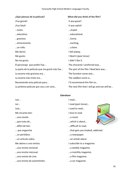| ¿Qué piensas de la película?                 | What did you think of the film?              |
|----------------------------------------------|----------------------------------------------|
| ¡Fue genial!                                 | It was great!                                |
| ¡Fue fatal!                                  | It was awful!                                |
| tonto.                                       | stupid.                                      |
| educativo.                                   | educational.                                 |
| gracioso.                                    | funny.                                       |
| emocionante.                                 | exciting,                                    |
| un rollo.                                    | a bore.                                      |
| Me dormí.                                    | I fell asleep.                               |
| Me gusto.                                    | I liked it (past tense)                      |
| No me gusto.                                 | I didn't like it.                            |
| El personaje que preferí fue                 | The character I preferred was                |
| La parte de la película que me gustó más fue | The part of the film I liked best was        |
| La escena más graciosa era                   | The funniest scene was                       |
| La escena más triste era                     | The saddest scene is                         |
| Recomiendo esta película para                | I'd recommend this film to                   |
| La próxima película que voy a ver será       | The next film that I will go and see will be |

# **Literature**

Leo… I read… Leí… I read (past tense)… Leía… I used to read… Me encanta leer. The same state of the love to read …una novela. …a novel. …que trata de… …which is about… …difícil de leer. …difficult to read. … que engancha …that gets you hooked, addicted. …un periódico. …a newspaper. …un artículo sobre. …an article about. Me abono a una revista. I subscribe to a magazine. …una revista semanal. …a weekly magazine. …una revista mensual. …a monthly magazine. …una revista de cine. …a film magazine. …una revista de automóviles. …a car magazine.

- 
- 
- 
- 
- 
- 
- 
- 
- 
- 
- 
- 
- 
-